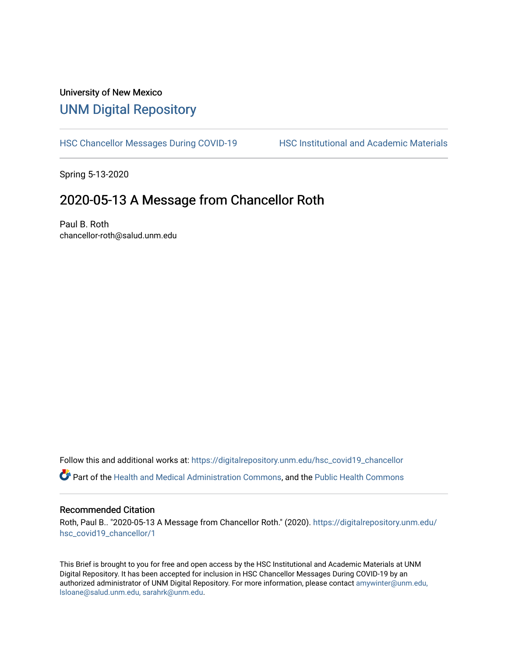## University of New Mexico [UNM Digital Repository](https://digitalrepository.unm.edu/)

[HSC Chancellor Messages During COVID-19](https://digitalrepository.unm.edu/hsc_covid19_chancellor) HSC Institutional and Academic Materials

Spring 5-13-2020

### 2020-05-13 A Message from Chancellor Roth

Paul B. Roth chancellor-roth@salud.unm.edu

Follow this and additional works at: [https://digitalrepository.unm.edu/hsc\\_covid19\\_chancellor](https://digitalrepository.unm.edu/hsc_covid19_chancellor?utm_source=digitalrepository.unm.edu%2Fhsc_covid19_chancellor%2F1&utm_medium=PDF&utm_campaign=PDFCoverPages)

## Part of the [Health and Medical Administration Commons](http://network.bepress.com/hgg/discipline/663?utm_source=digitalrepository.unm.edu%2Fhsc_covid19_chancellor%2F1&utm_medium=PDF&utm_campaign=PDFCoverPages), and the [Public Health Commons](http://network.bepress.com/hgg/discipline/738?utm_source=digitalrepository.unm.edu%2Fhsc_covid19_chancellor%2F1&utm_medium=PDF&utm_campaign=PDFCoverPages)

#### Recommended Citation

Roth, Paul B.. "2020-05-13 A Message from Chancellor Roth." (2020). [https://digitalrepository.unm.edu/](https://digitalrepository.unm.edu/hsc_covid19_chancellor/1?utm_source=digitalrepository.unm.edu%2Fhsc_covid19_chancellor%2F1&utm_medium=PDF&utm_campaign=PDFCoverPages) [hsc\\_covid19\\_chancellor/1](https://digitalrepository.unm.edu/hsc_covid19_chancellor/1?utm_source=digitalrepository.unm.edu%2Fhsc_covid19_chancellor%2F1&utm_medium=PDF&utm_campaign=PDFCoverPages) 

This Brief is brought to you for free and open access by the HSC Institutional and Academic Materials at UNM Digital Repository. It has been accepted for inclusion in HSC Chancellor Messages During COVID-19 by an authorized administrator of UNM Digital Repository. For more information, please contact [amywinter@unm.edu,](mailto:amywinter@unm.edu,%20lsloane@salud.unm.edu,%20sarahrk@unm.edu)  [lsloane@salud.unm.edu, sarahrk@unm.edu.](mailto:amywinter@unm.edu,%20lsloane@salud.unm.edu,%20sarahrk@unm.edu)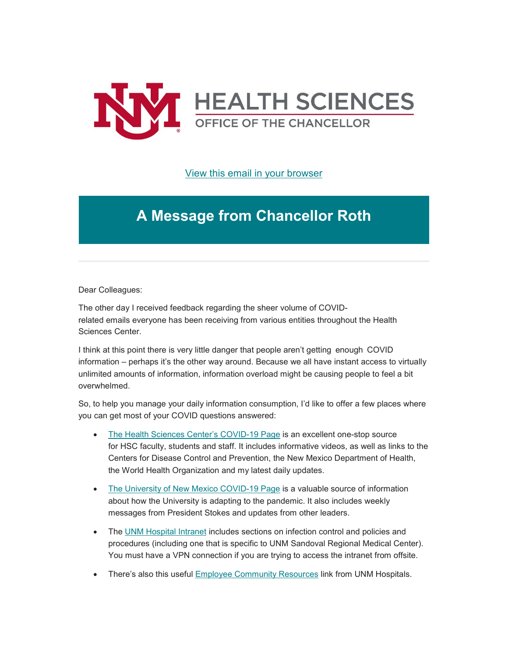

[View this email in your browser](https://mailchi.mp/104a1e8fd239/message-from-the-chancellor-coronavirus-4413984?e=b4bbfca2c0)

# **A Message from Chancellor Roth**

Dear Colleagues:

The other day I received feedback regarding the sheer volume of COVIDrelated emails everyone has been receiving from various entities throughout the Health Sciences Center.

I think at this point there is very little danger that people aren't getting  enough  COVID information – perhaps it's the other way around. Because we all have instant access to virtually unlimited amounts of information, information overload might be causing people to feel a bit overwhelmed.

So, to help you manage your daily information consumption, I'd like to offer a few places where you can get most of your COVID questions answered:

- [The Health Sciences Center's COVID-19 Page](https://unm.us19.list-manage.com/track/click?u=59ce53c1a4dedb490bac78648&id=0b694f75ad&e=b4bbfca2c0) is an excellent one-stop source for HSC faculty, students and staff. It includes informative videos, as well as links to the Centers for Disease Control and Prevention, the New Mexico Department of Health, the World Health Organization and my latest daily updates.
- [The University of New Mexico](https://unm.us19.list-manage.com/track/click?u=59ce53c1a4dedb490bac78648&id=4b3da57e02&e=b4bbfca2c0) COVID-19 Page is a valuable source of information about how the University is adapting to the pandemic. It also includes weekly messages from President Stokes and updates from other leaders.
- The [UNM Hospital Intranet](https://unm.us19.list-manage.com/track/click?u=59ce53c1a4dedb490bac78648&id=dbc39c2cc4&e=b4bbfca2c0) includes sections on infection control and policies and procedures (including one that is specific to UNM Sandoval Regional Medical Center). You must have a VPN connection if you are trying to access the intranet from offsite.
- There's also this useful [Employee Community Resources](https://unm.us19.list-manage.com/track/click?u=59ce53c1a4dedb490bac78648&id=cf12798601&e=b4bbfca2c0) link from UNM Hospitals.